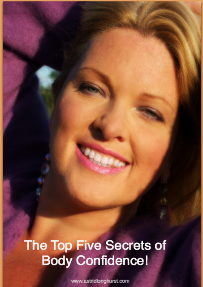# The Top Five Secrets of **Body Confidence!**

www.astridlonghurst.com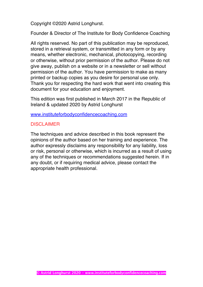Copyright ©2020 Astrid Longhurst.

Founder & Director of The Institute for Body Confidence Coaching

All rights reserved. No part of this publication may be reproduced, stored in a retrieval system, or transmitted in any form or by any means, whether electronic, mechanical, photocopying, recording or otherwise, without prior permission of the author. Please do not give away, publish on a website or in a newsletter or sell without permission of the author. You have permission to make as many printed or backup copies as you desire for personal use only. Thank you for respecting the hard work that went into creating this document for your education and enjoyment.

This edition was first published in March 2017 in the Republic of Ireland & updated 2020 by Astrid Longhurst

www.instituteforbodyconfidencecoaching.com

# DISCLAIMER

The techniques and advice described in this book represent the opinions of the author based on her training and experience. The author expressly disclaims any responsibility for any liability, loss or risk, personal or otherwise, which is incurred as a result of using any of the techniques or recommendations suggested herein. If in any doubt, or if requiring medical advice, please contact the appropriate health professional.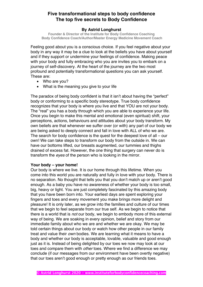# **Five transformational steps to body confidence The top five secrets to Body Confidence**

## **By Astrid Longhurst**

**Founder & Director of the Institute for Body Confidence Coaching Body Confidence Coach/Author/Master Energy Medicine Movement Coach**

Feeling good about you is a conscious choice. If you feel negative about your body in any way it may be a clue to look at the beliefs you have about yourself and if they support or undermine your feelings of confidence. Making peace with your body and fully embracing who you are invites you to embark on a journey of self-discovery. At the heart of the journey are the two most profound and potentially transformational questions you can ask yourself. These are:

- Who are you?
- What is the meaning you give to your life

The paradox of being body confident is that it isn't about having the "perfect" body or conforming to a specific body stereotype. True body confidence recognizes that your body is where you live and that YOU are not your body. The "real" you has a body through which you are able to experience your life. Once you begin to make this mental and emotional (even spiritual) shift, your perceptions, actions, behaviours and attitudes about your body transform. My own beliefs are that whenever we suffer over (or with) any part of our body we are being asked to deeply connect and fall in love with ALL of who we are. The search for body confidence is the quest for the deepest love of all – our own! We can take steps to transform our body from the outside in. We can have our bottoms lifted, our breasts augmented, our tummies and thighs drained of excess fat. However, the one thing that surgery can never do is transform the *eyes* of the person who is looking in the mirror.

## **Your body – your home!**

Our body is where we live. It is our home through this lifetime. When you come into this world you are naturally and fully in love with your body. There is no separation. No thought that tells you that you don't match up or aren't good enough. As a baby you have no awareness of whether your body is too small, big, heavy or light. You are just completely fascinated by this amazing body that you have been born into. Your earliest days are spent exploring your fingers and toes and every movement you make brings more delight and pleasure! It is only later, as we grow into the families and culture of our times that we begin to feel separate from our true self. As we begin to notice that there is a world that is *not* our body, we begin to embody more of this external way of being. We are soaking in every opinion, belief and story from our immediate family about who we are and whether we are okay. We may be told certain things about our body or watch how other people in our family treat and value their *own* bodies. We are learning what it means to have a body and whether our body is acceptable, lovable, valuable and good enough just as it is. Instead of being delighted by our toes we now may look at our toes and compare them with *other* toes. Where we find a difference we may conclude (if our messages from our environment have been overtly negative) that our toes aren't good enough or pretty enough as our friends toes.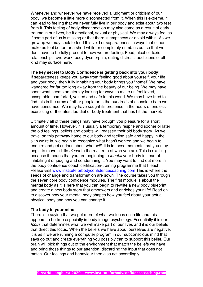Whenever and wherever we have received a judgment or criticism of our body, we become a little more disconnected from it. When this is extreme, it can lead to feeling that we never fully live in our body and exist about two feet from it. This feeling of body disconnection may also come as a result of early trauma in our lives, be it emotional, sexual or physical. We may always feel as if some part of us is missing or that there is emptiness or a void within. As we grow up we may seek to feed this void or separateness in ways that either make us feel better for a short while or completely numb us out so that we don't have to be fully present to how we are feeling. Food, alcohol, toxic relationships, overwork, body dysmorphia, eating distress, addictions of all kind may surface here.

#### **The key secret to Body Confidence is getting back into your body!**

If separateness keeps you away from feeling good about yourself, your life and your body, then fully inhabiting your body brings you "home!" We have wandered for far too long away from the beauty of our being. We may have spent what seems an eternity looking for ways to make us feel loved, acceptable, comforted, valued and safe in this world. We may have tried to find this in the arms of other people or in the hundreds of chocolate bars we have consumed. We may have sought its presence in the hours of endless exercising or the latest fad diet or body treatment that has hit the market.

Ultimately all of these things may have brought you pleasure for a short amount of time. However, it is usually a temporary respite and sooner or later the old feelings, beliefs and doubts will reassert their old body story. As we travel on this pathway home to our body and feeling safe and happy in the skin we're in, we begin to recognize what hasn't worked and we begin to enquire and get curious about what *will*. It is in these moments that you may begin to move a little *closer* to the real truth of who you are. This is exciting because it means that you are beginning to *inhabit* your body instead of inhibiting it or judging and condemning it. You may want to find out more in the body confidence coach certification-training programme that I teach. Please visit www.instituteforbodyconfidencecoaching.com This is where the seeds of change and transformation are sown. The course takes you through the seven core body confidence modules. The first module is about the mental body as it is here that you can begin to rewrite a new body blueprint and create a new body story that empowers and enriches your life! Read on to discover how your mental body shapes how you feel about your actual physical body and how you can change it!

#### **The body in your mind**

There is a saying that we get more of what we focus on in life and this appears to be true especially in body image psychology. Essentially it is our *focus* that determines what we will make part of our lives and it is our beliefs that direct this focus. When the beliefs we have about ourselves are negative, it is as if we are running a computer program in our subconscious mind that says go out and create everything you possibly can to support this belief. Our brain will pick things out of the environment that match the beliefs we have and bring those things to our attention, discarding the input that does not match. Our feelings and behaviour then also act accordingly.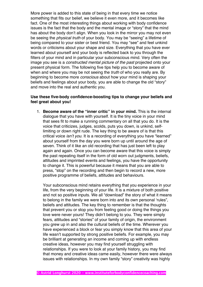More power is added to this state of being in that every time we notice something that fits our belief, we believe it even more, and it becomes like fact. One of the most interesting things about working with body confidence issues is the fact that the body and the mental image or "story" that the mind has about the body don't align. When you look in the mirror you may not even be seeing the *physical truth* of your body. You may be "seeing" a lifetime of being compared to your sister or best friend. You may "see" and feel unkind words or criticisms about your shape and size. Everything that you have ever learned about yourself and your body is reflected back to you through the filters of your mind and in particular your subconscious mind. Very often the image you see is a *constructed mental picture of the past* projected onto your present physical form. The following five tips help you to become aware of when and where you may be not seeing the *truth* of who you really are. By beginning to become more *conscious* about how your mind is shaping your beliefs and feelings about your body, you are able to change the old "story" and move into the real and authentic you.

# **Use these five-body confidence-boosting tips to change your beliefs and feel great about you!**

1. **Become aware of the "inner critic" in your mind.** This is the internal dialogue that you have with yourself. It is the tiny voice in your mind that sees fit to make a running commentary on all that you do. It is the voice that criticizes, judges, scolds, puts you down, is unkind, selflimiting or down right rude. The key thing to be aware of is that this critical voice *isn't you*. It is a recording of everything you have "learned" about yourself from the day you were born up until around the age of seven. Think of it like an old recording that has just been left to play again and again. Once you can become aware that this voice is simply the past repeating itself in the form of old worn out judgments, beliefs, attitudes and imprinted events and feelings, you have the opportunity to change it. This is powerful because it means that you are able to press, "stop" on the recording and then begin to record a new, more positive programme of beliefs, attitudes and behaviours.

Your subconscious mind retains everything that you experience in your life, from the very beginning of your life. It is a mixture of both positive and not so positive inputs. We all "download" the story of what it means to belong in the family we were born into and its own personal 'rules", beliefs and attitudes. The key thing to remember is that the thoughts that prevent you or stop you from feeling good or doing the things you love were never yours! They didn't belong to you. They were simply fears, attitudes and "stories" of your family of origin, the environment you grew up in and also the cultural beliefs of the time. Wherever you have experienced a block or fear you simply know that this area of your life wasn't supported by strong positive beliefs. For example, you may be brilliant at generating an income and coming up with endless creative ideas, however you may find yourself struggling with relationships. If you were to look at your family history, you may find that money and creative ideas came easily, however there were always issues with relationships. In my own family "story" creativity was highly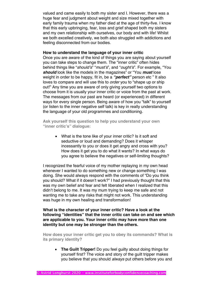valued and came easily to both my sister and I. However, there was a huge fear and judgment about weight and size mixed together with early family trauma when my father died at the age of thirty-five. I know that this early upbringing, fear, loss and grief shaped both my sisters and my own relationship with ourselves, our body and with life! Whilst we both excelled creatively, we both also struggled with addictions and feeling disconnected from our bodies.

#### **How to understand the language of your inner critic**

Once you are aware of the kind of things you are saying about yourself you can take steps to change them. The "inner critic" often hides behind things like "*should's*" "*must's*", and "*ought's*". For example, "You *should* look like the models in the magazines" or "You *must* lose weight in order to be happy, fit in, be a *"perfect"* person etc " It also loves to compare and will use this to *order* you to "shape up or ship out!" Any time you are aware of only giving yourself two options to choose from it is usually your inner critic or voice from the past at work. The messages from our past are heard (or experienced) in different ways for every single person. Being aware of how you "talk" to yourself (or listen to the inner negative self talk) is key in really understanding the language of your old programmes and conditioning.

**Ask yourself this question to help you understand your own "inner critic's" dialogue:**

• What is the tone like of your inner critic? Is it soft and seductive or loud and demanding? Does it whisper incessantly to you or does it get angry and cross with you? How does it get you to do what it wants? In what ways do you agree to believe the negatives or self-limiting thoughts?

I recognized the fearful voice of my mother replaying in my own head whenever I wanted to do something new or change something I was doing. She would always respond with the comments of "Do you think you should? What if it doesn't work?" I had previously thought that this was my own belief and fear and felt liberated when I realized that this didn't belong to me. It was my mum trying to keep me safe and not wanting me to take any risks that might not work. This understanding was huge in my own healing and transformation!

**What is the character of your inner critic? Have a look at the following "identities" that the inner critic can take on and see which are applicable to you. Your inner critic may have more than one identity but one may be stronger than the others.**

**How does your inner critic get you to obey its commands? What is its primary identity?**

• **The Guilt Tripper!** Do you feel guilty about doing things for yourself first? The voice and story of the guilt tripper makes you believe that you should *always* put others before you and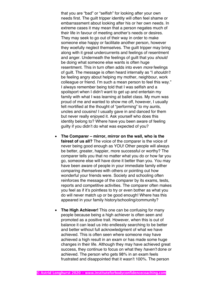that you are "bad" or "selfish" for looking after your own needs first. The guilt tripper identity will often feel shame or embarrassment about looking after his or her own needs. In extreme cases it may mean that a person negates much of their life in favour of meeting another's needs or desires. They may seek to go out of their way in order to make someone else happy or facilitate another person, however they woefully neglect themselves. The guilt tripper may bring along with it great undercurrents and feelings of resentment and anger. Underneath the feelings of guilt that you *should*  be doing what someone else wants is often huge resentment. This in turn often adds into even *more* feelings of guilt. The message is often heard internally as "I *shouldn't*  be feeling angry about helping my mother, neighbour, work colleague or friend. I'm such a mean person to feel this way." I always remember being told that I was selfish and a spoilsport when I didn't want to get up and entertain my family with what I was learning at ballet class. My mum was proud of me and wanted to show me off, however, I usually felt mortified at the thought of "performing" to my aunts, uncles and cousins! I usually gave in and danced for them but never really enjoyed it. Ask yourself who does this identity belong to? Where have you been aware of feeling guilty if you didn't do what was expected of you?

- **The Comparer – mirror, mirror on the wall, who is the fairest of us all?** The voice of the comparer is the voice of never being good enough as YOU! Other people will always be better, greater, happier, more successful or worthy? The comparer tells you that no matter what you do or how far you go, someone else will have done it better than you. You may have been aware of people in your immediate family either comparing *themselves* with others or pointing out how wonderful your friends were. Society and schooling often reinforces the message of the comparer by its exams, tests, reports and competitive activities. The comparer often makes you feel as if it's pointless to try or even bother as what you do will never match up or be good enough! Where has this appeared in your family history/schooling/community?
- **The High Achiever!** This one can be confusing for many people because being a high achiever is often seen and promoted as a positive trait. However, when this is out of balance it can lead us into endlessly searching to be better and better without full acknowledgment of what we have achieved. This is often seen where someone may have achieved a high result in an exam or has made some huge changes in their life. Although they may have achieved great success, they continue to focus on what they *haven't* done or achieved. The person who gets 98% in an exam feels frustrated and disappointed that it wasn't 100%. The person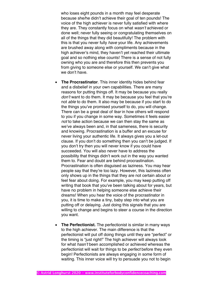who loses eight pounds in a month may feel desperate because she/he didn't achieve their goal of ten pounds! The voice of the high achiever is never fully satisfied with where they are. They constantly focus on what *wasn't* achieved or done well; never fully seeing or congratulating themselves on all of the things that they did beautifully! The problem with this is that you never fully *have* your life. Any achievements are brushed away along with compliments because in the high achiever's mind, they haven't yet reached their ultimate goal and so nothing else counts! There is a sense of not fully owning who you are and therefore this then prevents you from giving to someone else or yourself. We can't give what we don't have.

- **The Procrastinator**. This inner identity hides behind fear and a disbelief in your own capabilities. There are many reasons for putting things off. It may be because you really *don't* want to do them. It may be because you feel that you're not *able* to do them. It also may be because if you start to do the things you've promised yourself to do, you will change. There can be a great deal of *fear* in how others will respond to you if you change in some way. Sometimes it feels easier *not* to take action because we can then stay the same as we've always been and, in that sameness, there is security and knowing. Procrastination is a buffer and an excuse for never living your authentic life. It always gives you a let-out clause. If you don't do something then you can't be judged. If you don't try then you will never know if you could have succeeded. You will also never have to address the possibility that things didn't work out in the way you wanted them to. Fear and doubt are behind procrastination. Procrastination is often disguised as laziness. You may hear people say that they're too lazy. However, this laziness often only shows up in the things that they are not certain about or feel fear about doing. For example, you may keep putting off writing that book that you've been talking about for years, but have no problem in helping someone else achieve their dreams! When you hear the voice of the procrastinator in you, it is time to make a tiny, baby step into what you are putting off or delaying. Just doing this signals that you are willing to change and begins to steer a course in the direction you want.
- **The Perfectionist.** The perfectionist is similar in many ways to the high achiever. The main difference is that the perfectionist will put off doing things until they are "perfect" or the timing is "just right!" The high achiever will always look for what *hasn't* been accomplished or achieved whereas the perfectionist will wait for things to be *perfect* before they even begin! Perfectionists are always engaging in some form of waiting. This inner voice will try to persuade you not to begin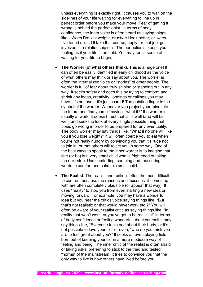unless everything is exactly right. It causes you to wait on the sidelines of your life waiting for everything to line up in perfect order before you make your move! Fear of getting it wrong is behind the perfectionist. In terms of body confidence, the inner voice is often heard as saying things like, "*When* I've lost weight, or *when* I look better, or *when*  I've toned up…. I'll take that course, apply for that job, get involved in a relationship etc." The perfectionist keeps you feeling as if your life is on hold. You may feel a sense of waiting for your life to begin.

- **The Worrier (of what others think)**. This is a huge one! It can often be easily identified in early childhood as the voice of what others may think or say about you. The worrier is often the internalized voice or "stories" of other people. The worrier is full of fear about truly shining or standing out in any way. It seeks safety and does this by trying to conform and shrink any ideas, creativity, longings or callings you may have. It's not bad – it's just scared! The pointing finger is the symbol of the worrier. Whenever you project your mind into the future and find yourself saying, "what if?" the worrier is usually at work. It doesn't trust that all is well (and will be well) and seeks to look at every single possible thing that *could* go wrong in order to be prepared for any eventuality. The body worrier may say things like, "What if no one will like you if you lose weight?" It will often coerce you to eat when you're not really hungry by convincing you that it's rude not to join in, or that others will reject you in some way. One of the best ways to speak to the inner worrier is to imagine that she (or he) is a very small child who is frightened of taking the next step. Use comforting, soothing and reassuring words to comfort and calm this small child.
- **The Realist**. The realist inner critic is often the most difficult to confront because the reasons and 'excuses" it comes up with are often completely plausible (or appear that way). It uses "reality" to stop you from even starting a new idea or moving forward. For example, you may have a wonderful idea but you hear the critics voice saying things like, "But that's not realistic or that would never work etc.?" You will often be aware of your realist critic as saying things like, "In reality that won't work, or you've got to be realistic!" In terms of body confidence or feeling wonderful about yourself it may say things like, "Everyone feels bad about their body, or it's not possible to love yourself" or even, "who do you think you are to feel great about you?" It seeks an even playing field born out of keeping yourself in a more mediocre way of feeling and being. The inner critic of the realist is often afraid of taking risks, preferring to stick to the tried and tested "norms" of the mainstream. It tries to convince you that the only way to live is how others have lived before you.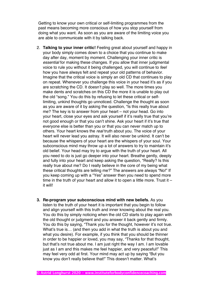Getting to know your own critical or self-limiting programmes from the past means becoming more conscious of how you stop yourself from doing what you want. As soon as you are aware of the limiting voice you are able to communicate with it by talking back.

- 2. **Talking to your inner critic!** Feeling great about yourself and happy in your body simply comes down to a choice that you continue to make day after day, moment by moment. Challenging your inner critic is *essential* for making these changes. If you allow that inner judgmental voice to rule you without it being challenged, you will continue to *feel*  how you have always felt and repeat your old patterns of behavior. Imagine that the critical voice is simply an old CD that continues to play on repeat. Whenever you challenge this voice in your head it's as if you are scratching the CD. It doesn't play so well. The more times you make dents and scratches on this CD the more it is unable to play out the old "song." You do this by refusing to let these critical or selflimiting, unkind thoughts go unnoticed. Challenge the thought as soon as you are aware of it by asking the question, "Is this really true about me? The key is to answer from your heart – not your head. Go into your heart, close your eyes and ask yourself if it's really true that you're not good enough or that you can't shine. Ask your heart if it's true that everyone else is better than you or that you can never match up to others. Your heart knows the *real* truth about you. The voice of your heart will never lead you astray. It will also never be unkind. It can't be because the whispers of your heart are the whispers of your soul. Your subconscious mind may throw up a lot of answers to try to maintain it's old belief. Your head may try to argue with the truth of your heart. All you need to do is just go deeper into your heart. Breathe gently, deeply and fully into your heart and keep asking the question, "Really? Is this really true about me? Do I really believe in the core of my being what these critical thoughts are telling me?" The answers are always "No!" If you keep coming up with a "Yes" answer then you need to spend more time in the truth of your heart and allow it to open a little more. Trust it – it will!
- **3. Re-program your subconscious mind with new beliefs.** As you listen to the truth of your heart it is important that you begin to follow and align yourself with this truth and inner knowing about the real you. You do this by simply noticing when the old CD starts to play again with the old thought or judgment and you answer it back gently and firmly. You do this by saying, "Thank you for the thought, however it's not true. What's true is… (and then you add in what the truth is about you and what you desire). For example, if you think that you should be thinner in order to be happier or loved, you may say, "Thanks for that thought, but that's not true about me. I am just right the way I am. I am lovable just as I am and this makes me feel happier, and very peaceful!" This may feel very odd at first. Your mind may act up by saying "But you know you don't really believe that!" This doesn't matter. What's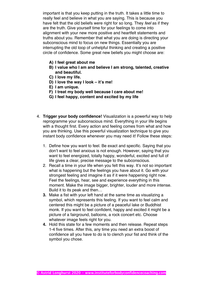important is that you keep putting in the truth. It takes a little time to really feel and believe in what you are saying. This is because you have felt that the old beliefs were right for so long. They *feel* as if they are the truth. Give yourself time for your feelings to come into alignment with your new more positive and heartfelt statements and truths about you. Remember that what you are doing is directing your subconscious mind to focus on new things. Essentially you are interrupting the old loop of unhelpful thinking and creating a positive circle of confidence. Some great new beliefs you might choose are:

- **A) I feel great about me**
- **B) I value who I am and believe I am strong, talented, creative and beautiful.**
- **C) I love my life.**
- **D) I love the way I look – it's me!**
- **E) I am unique.**
- **F) I treat my body well because I care about me!**
- **G) I feel happy, content and excited by my life**
- 4. **Trigger your body confidence!** Visualization is a powerful way to help reprogramme your subconscious mind. Everything in your life begins with a thought first. Every action and feeling comes from what and how you are thinking. Use this powerful visualization technique to give you instant body confidence whenever you may need it! Follow these steps:
	- 1. Define how you want to feel. Be exact and specific. Saying that you don't want to feel anxious is not enough. However, saying that you want to feel energized, totally happy, wonderful, excited and full of life gives a clear, precise message to the subconscious.
	- 2. Recall a time in your life when you felt this way. It's not so important what is happening but the feelings you have about it. Go with your strongest feeling and imagine it as if it were happening right now. Feel the feelings, hear, see and experience everything in this moment. Make the image bigger, brighter, louder and more intense. Build it to its peak and then…
	- **3.** Make a fist with your left hand at the same time as visualizing a symbol, which represents this feeling. If you want to feel calm and centered this might be a picture of a peaceful lake or Buddhist monk. If you want to feel confident, happy and excited it might be a picture of a fairground, balloons, a rock concert etc. Choose whatever image feels right for you.
	- **4.** Hold this state for a few moments and then release. Repeat steps 1-4 five times. After this, any time you need an extra boost of confidence all you have to do is to clench your fist and think of the symbol you chose.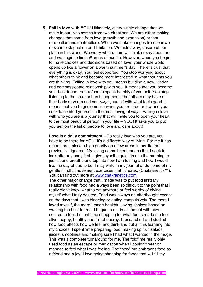**5. Fall in love with YOU!** Ultimately, every single change that we make in our lives comes from two directions. We are either making changes that come from love (growth and expansion) or fear (protection and contraction). When we make changes from fear we move into stagnation and limitation. We hide away, unsure of our place in this world. We worry what others will think or say about us and we begin to limit *all* areas of our life. However, when you begin to make choices and decisions based on love, your whole world opens up like a flower on a warm summer's day. There is trust that everything is okay. You feel supported. You stop worrying about what others think and become more interested in what thoughts you are thinking. Falling in love with you means building a new, kinder and compassionate relationship with you. It means that you become your best friend. You refuse to speak harshly of yourself. You stop listening to the cruel or harsh judgments that others may have of their body or yours and you *align* yourself with what feels good. It means that you begin to notice when you are tired or low and you seek to comfort yourself in the most loving of ways. Falling in love with who you are is a journey that will invite you to open your heart to the most beautiful person in your life – YOU! It asks you to put yourself on the list of people to love and care about!

**Love is a daily commitment –** To really love who you are, you have to be there for YOU! It's a different way of living. For me it has meant that I place a high priority on a few areas in my life that previously I ignored. My loving commitment means that I seek to look after my body first. I give myself a quiet time in the morning to just sit and breathe and tap into how I am feeling and how I would like the day ahead to be. I may write in my journal or do some of my gentle mindful movement exercises that I created (Chakranetics™). You can find out more at www.chakranetics.com The other major change that I made was to put food first! My relationship with food had always been so difficult to the point that I really didn't know what to eat anymore or feel worthy of giving myself what I truly desired. Food was always an afterthought except on the days that I was bingeing or eating compulsively. The more I loved myself, the more I made healthful loving choices based on wanting the best for me. I began to eat in alignment with how I desired to feel. I spent time shopping for what foods made me feel alive, happy, healthy and full of energy. I researched and studied how food affects how we feel and think and put all this learning into my choices. I spent time preparing food; making up fruit salads, juices, smoothies and making sure I had what I wanted in the fridge. This was a complete turnaround for me. The "old" me really only used food as an escape or medication when I couldn't bear or manage to feel what I was feeling. The "new" me embraces food as a friend and a joy! I love going shopping for foods that will fill my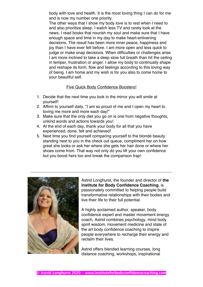body with love and health. It is the most loving thing I can do for me and is now my number one priority.

The other ways that I show my body love is to rest when I need to and also prioritize sleep. I watch less TV and rarely look at the news. I read books that nourish my soul and make sure that I have enough space and time in my day to make heart-enlivening decisions. The result has been more inner peace, happiness and joy than I have ever felt before. I am more open and less quick to judge or make snap decisions. When difficulties or challenges arise I am more inclined to take a deep slow full breath than hit the ceiling in temper, frustration or anger. I allow my body to continually shape and reshape its form, flow and feelings according to this loving way of being. I am home and my wish is for you also to come home to your beautiful self.

# Five Quick Body Confidence Boosters!

- 1. Decide that the next time you look in the mirror you will smile at yourself!
- 2. Affirm to yourself daily, "I am so proud of me and I open my heart to loving me more and more each day!"
- 3. Make sure that the only diet you go on is one from negative thoughts, unkind words and actions towards you!
- 4. At the end of each day, thank your body for all that you have experienced, done, felt and achieved!
- 5. Next time you find yourself comparing yourself to the blonde beauty standing next to you in the check out queue, compliment her on how great she looks or ask her where she gets her hair done or where her shoes come from. That way not only do you lift your own confidence but you boost hers too and break the comparison trap!

\_\_\_\_\_\_\_\_\_\_\_\_\_\_\_\_\_\_\_\_\_\_\_\_\_\_\_\_\_\_\_\_\_\_\_\_\_\_\_\_\_\_\_\_\_\_\_\_\_\_\_\_\_\_\_\_\_\_\_\_\_\_



Astrid Longhurst, the founder and director of **the Institute for Body Confidence Coaching**, is passionately committed to helping people build transformative relationships with their bodies and live their life to their full potential.

A highly acclaimed author, speaker, body confidence expert and master movement energy coach, Astrid combines psychology, mind body spirit wisdom, movement medicine and state of the art body confidence coaching to inspire people everywhere to recharge their energy and reclaim their lives.

Astrid offers blended learning courses, long distance coaching, workshops, inspirational